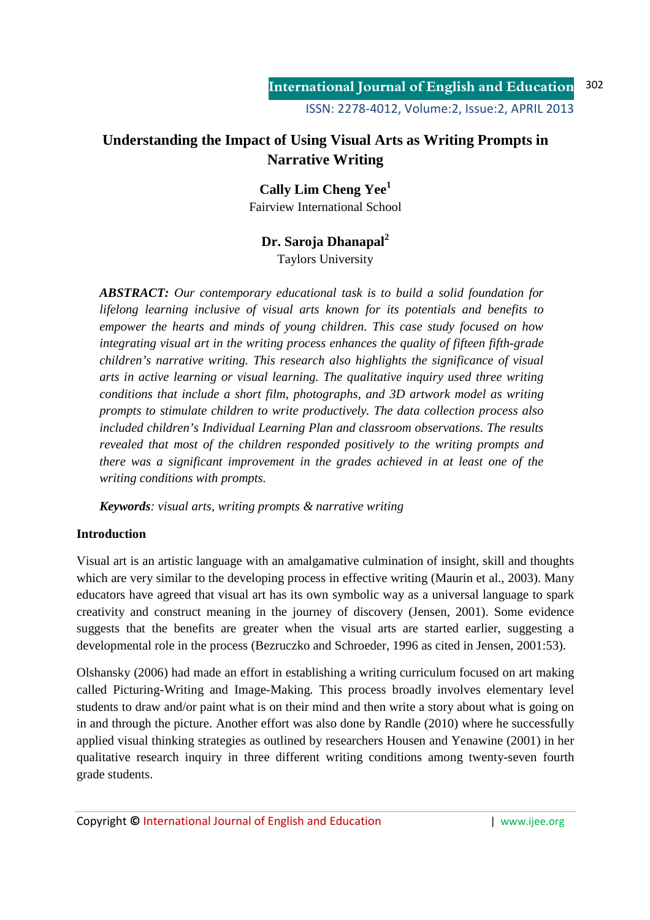# **Understanding the Impact of Using Visual Arts as Writing Prompts in Narrative Writing**

# **Cally Lim Cheng Yee<sup>1</sup>**

Fairview International School

# **Dr. Saroja Dhanapal<sup>2</sup>**

Taylors University

*ABSTRACT: Our contemporary educational task is to build a solid foundation for lifelong learning inclusive of visual arts known for its potentials and benefits to empower the hearts and minds of young children. This case study focused on how integrating visual art in the writing process enhances the quality of fifteen fifth-grade children's narrative writing. This research also highlights the significance of visual arts in active learning or visual learning. The qualitative inquiry used three writing conditions that include a short film, photographs, and 3D artwork model as writing prompts to stimulate children to write productively. The data collection process also included children's Individual Learning Plan and classroom observations. The results revealed that most of the children responded positively to the writing prompts and there was a significant improvement in the grades achieved in at least one of the writing conditions with prompts.* 

*Keywords: visual arts, writing prompts & narrative writing* 

## **Introduction**

Visual art is an artistic language with an amalgamative culmination of insight, skill and thoughts which are very similar to the developing process in effective writing (Maurin et al., 2003). Many educators have agreed that visual art has its own symbolic way as a universal language to spark creativity and construct meaning in the journey of discovery (Jensen, 2001). Some evidence suggests that the benefits are greater when the visual arts are started earlier, suggesting a developmental role in the process (Bezruczko and Schroeder, 1996 as cited in Jensen, 2001:53).

Olshansky (2006) had made an effort in establishing a writing curriculum focused on art making called Picturing-Writing and Image-Making. This process broadly involves elementary level students to draw and/or paint what is on their mind and then write a story about what is going on in and through the picture. Another effort was also done by Randle (2010) where he successfully applied visual thinking strategies as outlined by researchers Housen and Yenawine (2001) in her qualitative research inquiry in three different writing conditions among twenty-seven fourth grade students.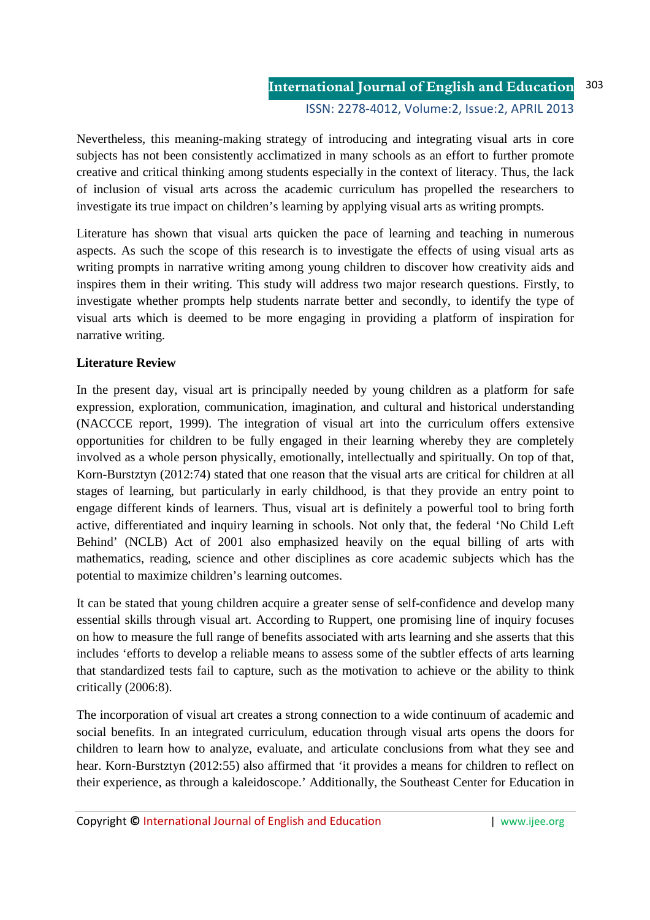Nevertheless, this meaning-making strategy of introducing and integrating visual arts in core subjects has not been consistently acclimatized in many schools as an effort to further promote creative and critical thinking among students especially in the context of literacy. Thus, the lack of inclusion of visual arts across the academic curriculum has propelled the researchers to investigate its true impact on children's learning by applying visual arts as writing prompts.

Literature has shown that visual arts quicken the pace of learning and teaching in numerous aspects. As such the scope of this research is to investigate the effects of using visual arts as writing prompts in narrative writing among young children to discover how creativity aids and inspires them in their writing. This study will address two major research questions. Firstly, to investigate whether prompts help students narrate better and secondly, to identify the type of visual arts which is deemed to be more engaging in providing a platform of inspiration for narrative writing.

# **Literature Review**

In the present day, visual art is principally needed by young children as a platform for safe expression, exploration, communication, imagination, and cultural and historical understanding (NACCCE report, 1999). The integration of visual art into the curriculum offers extensive opportunities for children to be fully engaged in their learning whereby they are completely involved as a whole person physically, emotionally, intellectually and spiritually. On top of that, Korn-Burstztyn (2012:74) stated that one reason that the visual arts are critical for children at all stages of learning, but particularly in early childhood, is that they provide an entry point to engage different kinds of learners. Thus, visual art is definitely a powerful tool to bring forth active, differentiated and inquiry learning in schools. Not only that, the federal 'No Child Left Behind' (NCLB) Act of 2001 also emphasized heavily on the equal billing of arts with mathematics, reading, science and other disciplines as core academic subjects which has the potential to maximize children's learning outcomes.

It can be stated that young children acquire a greater sense of self-confidence and develop many essential skills through visual art. According to Ruppert, one promising line of inquiry focuses on how to measure the full range of benefits associated with arts learning and she asserts that this includes 'efforts to develop a reliable means to assess some of the subtler effects of arts learning that standardized tests fail to capture, such as the motivation to achieve or the ability to think critically (2006:8).

The incorporation of visual art creates a strong connection to a wide continuum of academic and social benefits. In an integrated curriculum, education through visual arts opens the doors for children to learn how to analyze, evaluate, and articulate conclusions from what they see and hear. Korn-Burstztyn (2012:55) also affirmed that 'it provides a means for children to reflect on their experience, as through a kaleidoscope.' Additionally, the Southeast Center for Education in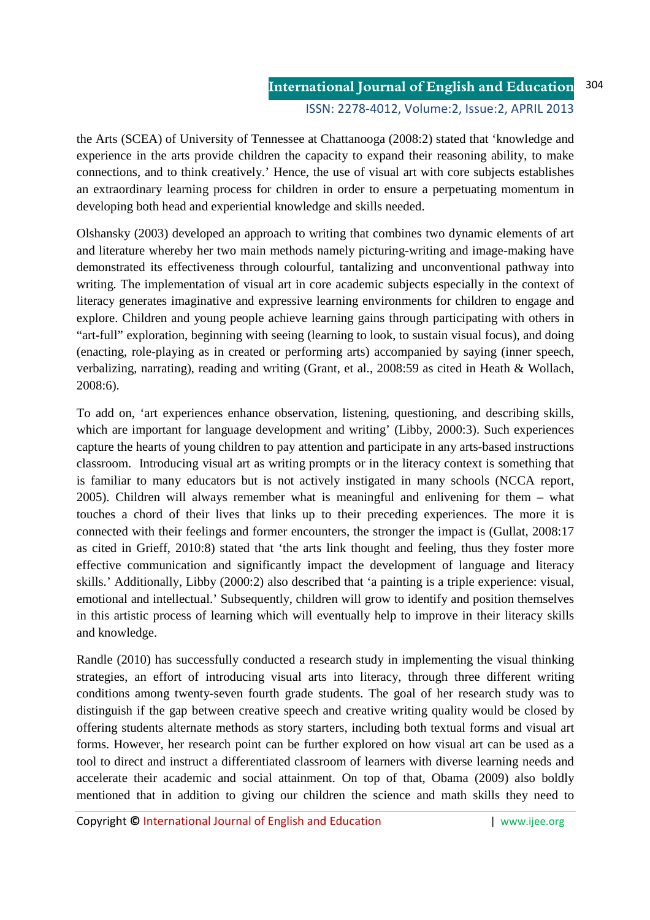the Arts (SCEA) of University of Tennessee at Chattanooga (2008:2) stated that 'knowledge and experience in the arts provide children the capacity to expand their reasoning ability, to make connections, and to think creatively.' Hence, the use of visual art with core subjects establishes an extraordinary learning process for children in order to ensure a perpetuating momentum in developing both head and experiential knowledge and skills needed.

Olshansky (2003) developed an approach to writing that combines two dynamic elements of art and literature whereby her two main methods namely picturing-writing and image-making have demonstrated its effectiveness through colourful, tantalizing and unconventional pathway into writing. The implementation of visual art in core academic subjects especially in the context of literacy generates imaginative and expressive learning environments for children to engage and explore. Children and young people achieve learning gains through participating with others in "art-full" exploration, beginning with seeing (learning to look, to sustain visual focus), and doing (enacting, role-playing as in created or performing arts) accompanied by saying (inner speech, verbalizing, narrating), reading and writing (Grant, et al., 2008:59 as cited in Heath & Wollach, 2008:6).

To add on, 'art experiences enhance observation, listening, questioning, and describing skills, which are important for language development and writing' (Libby, 2000:3). Such experiences capture the hearts of young children to pay attention and participate in any arts-based instructions classroom. Introducing visual art as writing prompts or in the literacy context is something that is familiar to many educators but is not actively instigated in many schools (NCCA report, 2005). Children will always remember what is meaningful and enlivening for them – what touches a chord of their lives that links up to their preceding experiences. The more it is connected with their feelings and former encounters, the stronger the impact is (Gullat, 2008:17 as cited in Grieff, 2010:8) stated that 'the arts link thought and feeling, thus they foster more effective communication and significantly impact the development of language and literacy skills.' Additionally, Libby (2000:2) also described that 'a painting is a triple experience: visual, emotional and intellectual.' Subsequently, children will grow to identify and position themselves in this artistic process of learning which will eventually help to improve in their literacy skills and knowledge.

Randle (2010) has successfully conducted a research study in implementing the visual thinking strategies, an effort of introducing visual arts into literacy, through three different writing conditions among twenty-seven fourth grade students. The goal of her research study was to distinguish if the gap between creative speech and creative writing quality would be closed by offering students alternate methods as story starters, including both textual forms and visual art forms. However, her research point can be further explored on how visual art can be used as a tool to direct and instruct a differentiated classroom of learners with diverse learning needs and accelerate their academic and social attainment. On top of that, Obama (2009) also boldly mentioned that in addition to giving our children the science and math skills they need to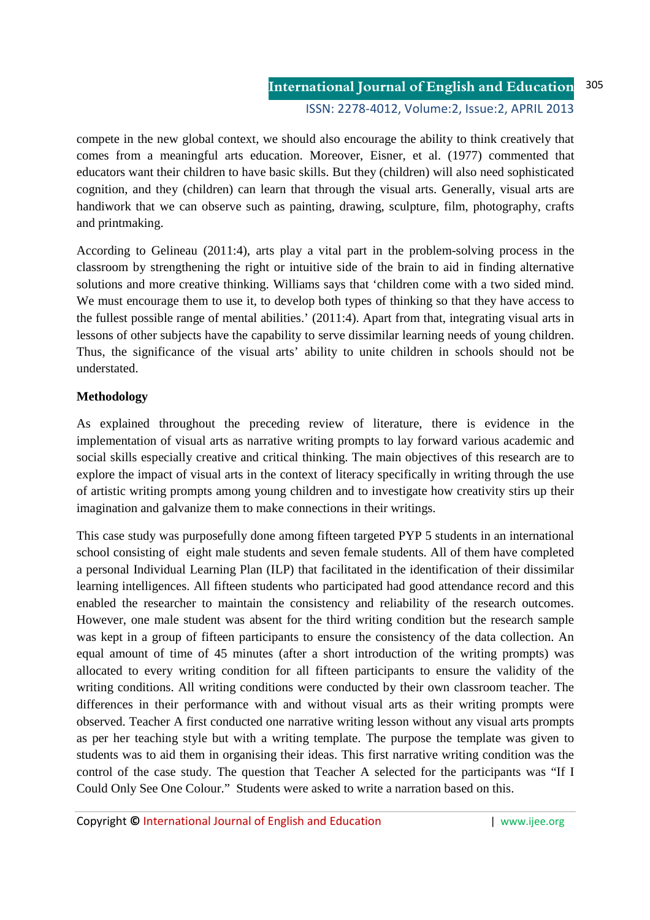compete in the new global context, we should also encourage the ability to think creatively that comes from a meaningful arts education. Moreover, Eisner, et al. (1977) commented that educators want their children to have basic skills. But they (children) will also need sophisticated cognition, and they (children) can learn that through the visual arts. Generally, visual arts are handiwork that we can observe such as painting, drawing, sculpture, film, photography, crafts and printmaking.

According to Gelineau (2011:4), arts play a vital part in the problem-solving process in the classroom by strengthening the right or intuitive side of the brain to aid in finding alternative solutions and more creative thinking. Williams says that 'children come with a two sided mind. We must encourage them to use it, to develop both types of thinking so that they have access to the fullest possible range of mental abilities.' (2011:4). Apart from that, integrating visual arts in lessons of other subjects have the capability to serve dissimilar learning needs of young children. Thus, the significance of the visual arts' ability to unite children in schools should not be understated.

# **Methodology**

As explained throughout the preceding review of literature, there is evidence in the implementation of visual arts as narrative writing prompts to lay forward various academic and social skills especially creative and critical thinking. The main objectives of this research are to explore the impact of visual arts in the context of literacy specifically in writing through the use of artistic writing prompts among young children and to investigate how creativity stirs up their imagination and galvanize them to make connections in their writings.

This case study was purposefully done among fifteen targeted PYP 5 students in an international school consisting of eight male students and seven female students. All of them have completed a personal Individual Learning Plan (ILP) that facilitated in the identification of their dissimilar learning intelligences. All fifteen students who participated had good attendance record and this enabled the researcher to maintain the consistency and reliability of the research outcomes. However, one male student was absent for the third writing condition but the research sample was kept in a group of fifteen participants to ensure the consistency of the data collection. An equal amount of time of 45 minutes (after a short introduction of the writing prompts) was allocated to every writing condition for all fifteen participants to ensure the validity of the writing conditions. All writing conditions were conducted by their own classroom teacher. The differences in their performance with and without visual arts as their writing prompts were observed. Teacher A first conducted one narrative writing lesson without any visual arts prompts as per her teaching style but with a writing template. The purpose the template was given to students was to aid them in organising their ideas. This first narrative writing condition was the control of the case study. The question that Teacher A selected for the participants was "If I Could Only See One Colour." Students were asked to write a narration based on this.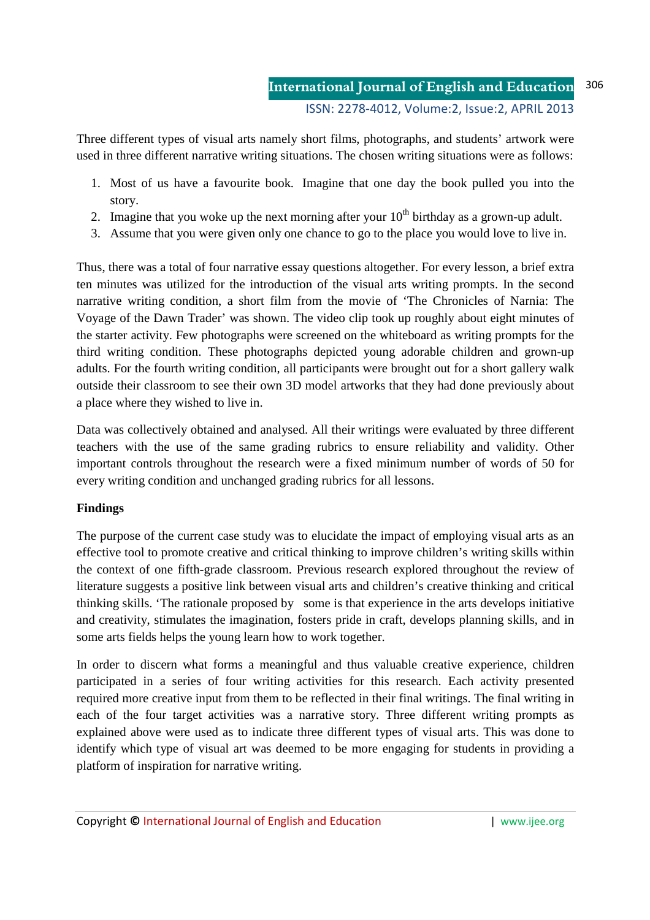Three different types of visual arts namely short films, photographs, and students' artwork were used in three different narrative writing situations. The chosen writing situations were as follows:

- 1. Most of us have a favourite book. Imagine that one day the book pulled you into the story.
- 2. Imagine that you woke up the next morning after your  $10<sup>th</sup>$  birthday as a grown-up adult.
- 3. Assume that you were given only one chance to go to the place you would love to live in.

Thus, there was a total of four narrative essay questions altogether. For every lesson, a brief extra ten minutes was utilized for the introduction of the visual arts writing prompts. In the second narrative writing condition, a short film from the movie of 'The Chronicles of Narnia: The Voyage of the Dawn Trader' was shown. The video clip took up roughly about eight minutes of the starter activity. Few photographs were screened on the whiteboard as writing prompts for the third writing condition. These photographs depicted young adorable children and grown-up adults. For the fourth writing condition, all participants were brought out for a short gallery walk outside their classroom to see their own 3D model artworks that they had done previously about a place where they wished to live in.

Data was collectively obtained and analysed. All their writings were evaluated by three different teachers with the use of the same grading rubrics to ensure reliability and validity. Other important controls throughout the research were a fixed minimum number of words of 50 for every writing condition and unchanged grading rubrics for all lessons.

## **Findings**

The purpose of the current case study was to elucidate the impact of employing visual arts as an effective tool to promote creative and critical thinking to improve children's writing skills within the context of one fifth-grade classroom. Previous research explored throughout the review of literature suggests a positive link between visual arts and children's creative thinking and critical thinking skills. 'The rationale proposed by some is that experience in the arts develops initiative and creativity, stimulates the imagination, fosters pride in craft, develops planning skills, and in some arts fields helps the young learn how to work together.

In order to discern what forms a meaningful and thus valuable creative experience, children participated in a series of four writing activities for this research. Each activity presented required more creative input from them to be reflected in their final writings. The final writing in each of the four target activities was a narrative story. Three different writing prompts as explained above were used as to indicate three different types of visual arts. This was done to identify which type of visual art was deemed to be more engaging for students in providing a platform of inspiration for narrative writing.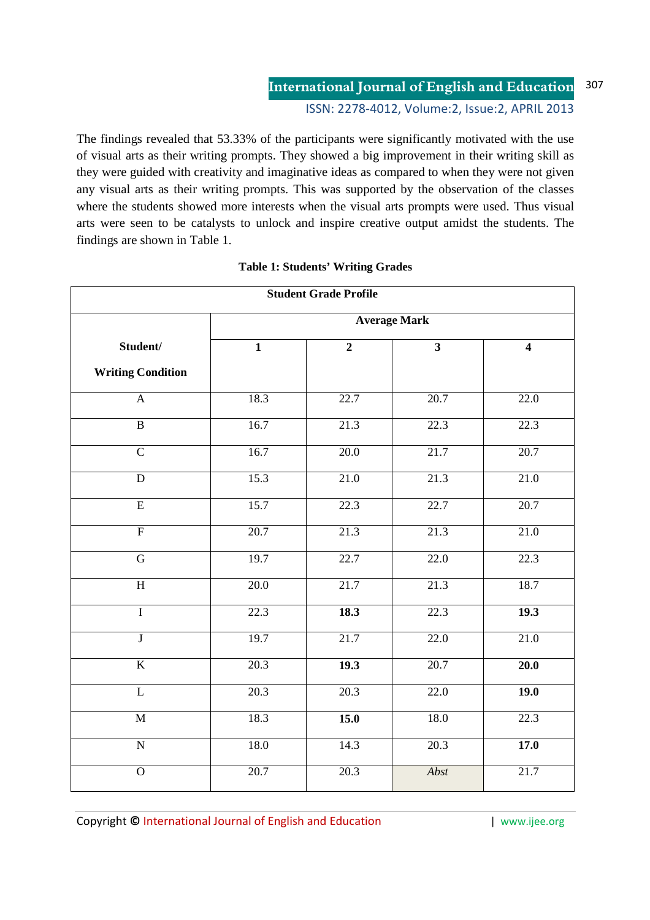# **International Journal of English and Education** 307

ISSN: 2278-4012, Volume:2, Issue:2, APRIL 2013

The findings revealed that 53.33% of the participants were significantly motivated with the use of visual arts as their writing prompts. They showed a big improvement in their writing skill as they were guided with creativity and imaginative ideas as compared to when they were not given any visual arts as their writing prompts. This was supported by the observation of the classes where the students showed more interests when the visual arts prompts were used. Thus visual arts were seen to be catalysts to unlock and inspire creative output amidst the students. The findings are shown in Table 1.

| <b>Student Grade Profile</b> |                         |                |                         |                         |  |  |
|------------------------------|-------------------------|----------------|-------------------------|-------------------------|--|--|
|                              | <b>Average Mark</b>     |                |                         |                         |  |  |
| Student/                     | $\overline{\mathbf{1}}$ | $\overline{2}$ | $\overline{\mathbf{3}}$ | $\overline{\mathbf{4}}$ |  |  |
| <b>Writing Condition</b>     |                         |                |                         |                         |  |  |
| $\boldsymbol{\mathsf{A}}$    | 18.3                    | 22.7           | 20.7                    | 22.0                    |  |  |
| $\overline{B}$               | 16.7                    | 21.3           | 22.3                    | 22.3                    |  |  |
| $\overline{C}$               | 16.7                    | 20.0           | 21.7                    | 20.7                    |  |  |
| ${\bf D}$                    | 15.3                    | 21.0           | 21.3                    | 21.0                    |  |  |
| $\overline{E}$               | 15.7                    | 22.3           | 22.7                    | 20.7                    |  |  |
| $\overline{\mathrm{F}}$      | 20.7                    | 21.3           | 21.3                    | 21.0                    |  |  |
| $\overline{G}$               | 19.7                    | 22.7           | 22.0                    | 22.3                    |  |  |
| $\overline{H}$               | 20.0                    | 21.7           | 21.3                    | 18.7                    |  |  |
| $\overline{I}$               | 22.3                    | 18.3           | 22.3                    | 19.3                    |  |  |
| $\overline{\text{J}}$        | 19.7                    | 21.7           | 22.0                    | 21.0                    |  |  |
| $\overline{K}$               | 20.3                    | 19.3           | 20.7                    | 20.0                    |  |  |
| $\overline{L}$               | 20.3                    | 20.3           | 22.0                    | 19.0                    |  |  |
| $\overline{\mathbf{M}}$      | 18.3                    | 15.0           | 18.0                    | 22.3                    |  |  |
| $\mathbf N$                  | 18.0                    | 14.3           | 20.3                    | 17.0                    |  |  |
| $\overline{0}$               | 20.7                    | 20.3           | Abst                    | 21.7                    |  |  |

### **Table 1: Students' Writing Grades**

Copyright © International Journal of English and Education **| www.ijee.org** | www.ijee.org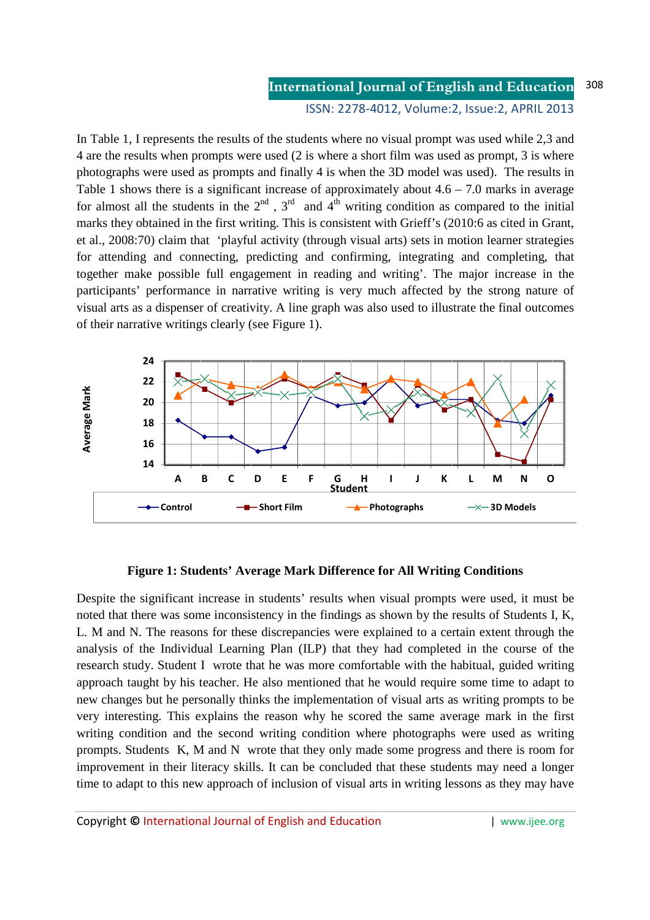#### **International Journal of English and Education** 308

ISSN: 2278-4012, Volume:2, Issue:2, APRIL 2013

In Table 1, I represents the results of the students where no visual prompt was used while 2,3 and 4 are the results when prompts were used (2 is where a short film was used as prompt, 3 is where photographs were used as prompts and finally 4 is when the 3D model was used). The results in Table 1 shows there is a significant increase of approximately about  $4.6 - 7.0$  marks in average for almost all the students in the  $2^{nd}$ ,  $3^{rd}$  and  $4^{th}$  writing condition as compared to the initial marks they obtained in the first writing. This is consistent with Grieff's (2010:6 as cited in Grant, et al., 2008:70) claim that 'playful activity (through visual arts) sets in motion learner strategies for attending and connecting, predicting and confirming, integrating and completing, that together make possible full engagement in reading and writing'. The major increase in the participants' performance in narrative writing is very much affected by the strong nature of visual arts as a dispenser of creativity. A line graph was also used to illustrate the final outcomes of their narrative writings clearly (see Figure 1).



### **Figure 1: Students' Average Mark Difference for All Writing Conditions**

Despite the significant increase in students' results when visual prompts were used, it must be noted that there was some inconsistency in the findings as shown by the results of Students I, K, L. M and N. The reasons for these discrepancies were explained to a certain extent through the analysis of the Individual Learning Plan (ILP) that they had completed in the course of the research study. Student I wrote that he was more comfortable with the habitual, guided writing approach taught by his teacher. He also mentioned that he would require some time to adapt to new changes but he personally thinks the implementation of visual arts as writing prompts to be very interesting. This explains the reason why he scored the same average mark in the first writing condition and the second writing condition where photographs were used as writing prompts. Students K, M and N wrote that they only made some progress and there is room for improvement in their literacy skills. It can be concluded that these students may need a longer time to adapt to this new approach of inclusion of visual arts in writing lessons as they may have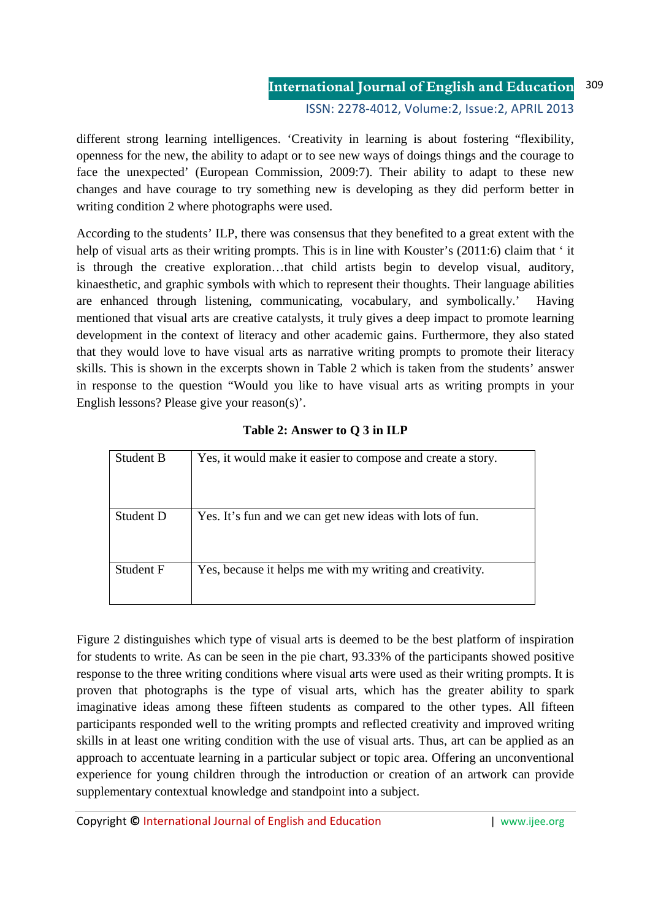different strong learning intelligences. 'Creativity in learning is about fostering "flexibility, openness for the new, the ability to adapt or to see new ways of doings things and the courage to face the unexpected' (European Commission, 2009:7). Their ability to adapt to these new changes and have courage to try something new is developing as they did perform better in writing condition 2 where photographs were used.

According to the students' ILP, there was consensus that they benefited to a great extent with the help of visual arts as their writing prompts. This is in line with Kouster's (2011:6) claim that ' it is through the creative exploration…that child artists begin to develop visual, auditory, kinaesthetic, and graphic symbols with which to represent their thoughts. Their language abilities are enhanced through listening, communicating, vocabulary, and symbolically.' Having mentioned that visual arts are creative catalysts, it truly gives a deep impact to promote learning development in the context of literacy and other academic gains. Furthermore, they also stated that they would love to have visual arts as narrative writing prompts to promote their literacy skills. This is shown in the excerpts shown in Table 2 which is taken from the students' answer in response to the question "Would you like to have visual arts as writing prompts in your English lessons? Please give your reason(s)'.

| Student B | Yes, it would make it easier to compose and create a story. |
|-----------|-------------------------------------------------------------|
| Student D | Yes. It's fun and we can get new ideas with lots of fun.    |
| Student F | Yes, because it helps me with my writing and creativity.    |

| Table 2: Answer to Q 3 in ILP |  |  |  |
|-------------------------------|--|--|--|
|-------------------------------|--|--|--|

Figure 2 distinguishes which type of visual arts is deemed to be the best platform of inspiration for students to write. As can be seen in the pie chart, 93.33% of the participants showed positive response to the three writing conditions where visual arts were used as their writing prompts. It is proven that photographs is the type of visual arts, which has the greater ability to spark imaginative ideas among these fifteen students as compared to the other types. All fifteen participants responded well to the writing prompts and reflected creativity and improved writing skills in at least one writing condition with the use of visual arts. Thus, art can be applied as an approach to accentuate learning in a particular subject or topic area. Offering an unconventional experience for young children through the introduction or creation of an artwork can provide supplementary contextual knowledge and standpoint into a subject.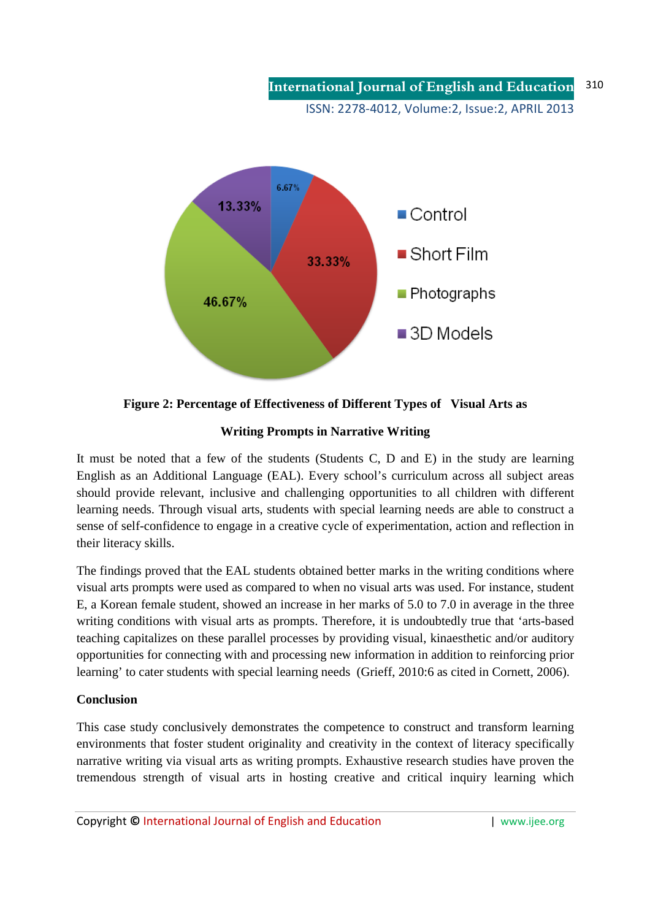**International Journal of English and Education** ISSN: 2278-4012, Volume:2, Issue:2, APRIL 2013 310

6.67% 13.33%  $\blacksquare$  Control  $\blacksquare$  Short Film 33.33%  $\blacksquare$  Photographs 46.67%  $\blacksquare$  3D Models

**Figure 2: Percentage of Effectiveness of Different Types of Visual Arts as** 

# **Writing Prompts in Narrative Writing**

It must be noted that a few of the students (Students C, D and E) in the study are learning English as an Additional Language (EAL). Every school's curriculum across all subject areas should provide relevant, inclusive and challenging opportunities to all children with different learning needs. Through visual arts, students with special learning needs are able to construct a sense of self-confidence to engage in a creative cycle of experimentation, action and reflection in their literacy skills.

The findings proved that the EAL students obtained better marks in the writing conditions where visual arts prompts were used as compared to when no visual arts was used. For instance, student E, a Korean female student, showed an increase in her marks of 5.0 to 7.0 in average in the three writing conditions with visual arts as prompts. Therefore, it is undoubtedly true that 'arts-based teaching capitalizes on these parallel processes by providing visual, kinaesthetic and/or auditory opportunities for connecting with and processing new information in addition to reinforcing prior learning' to cater students with special learning needs (Grieff, 2010:6 as cited in Cornett, 2006).

## **Conclusion**

This case study conclusively demonstrates the competence to construct and transform learning environments that foster student originality and creativity in the context of literacy specifically narrative writing via visual arts as writing prompts. Exhaustive research studies have proven the tremendous strength of visual arts in hosting creative and critical inquiry learning which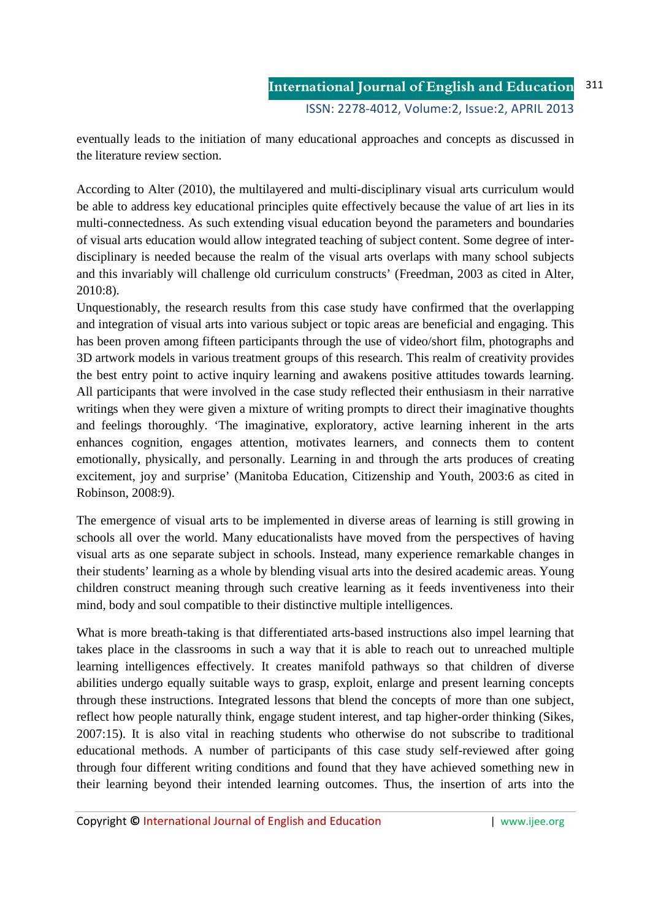eventually leads to the initiation of many educational approaches and concepts as discussed in the literature review section.

According to Alter (2010), the multilayered and multi-disciplinary visual arts curriculum would be able to address key educational principles quite effectively because the value of art lies in its multi-connectedness. As such extending visual education beyond the parameters and boundaries of visual arts education would allow integrated teaching of subject content. Some degree of interdisciplinary is needed because the realm of the visual arts overlaps with many school subjects and this invariably will challenge old curriculum constructs' (Freedman, 2003 as cited in Alter, 2010:8).

Unquestionably, the research results from this case study have confirmed that the overlapping and integration of visual arts into various subject or topic areas are beneficial and engaging. This has been proven among fifteen participants through the use of video/short film, photographs and 3D artwork models in various treatment groups of this research. This realm of creativity provides the best entry point to active inquiry learning and awakens positive attitudes towards learning. All participants that were involved in the case study reflected their enthusiasm in their narrative writings when they were given a mixture of writing prompts to direct their imaginative thoughts and feelings thoroughly. 'The imaginative, exploratory, active learning inherent in the arts enhances cognition, engages attention, motivates learners, and connects them to content emotionally, physically, and personally. Learning in and through the arts produces of creating excitement, joy and surprise' (Manitoba Education, Citizenship and Youth, 2003:6 as cited in Robinson, 2008:9).

The emergence of visual arts to be implemented in diverse areas of learning is still growing in schools all over the world. Many educationalists have moved from the perspectives of having visual arts as one separate subject in schools. Instead, many experience remarkable changes in their students' learning as a whole by blending visual arts into the desired academic areas. Young children construct meaning through such creative learning as it feeds inventiveness into their mind, body and soul compatible to their distinctive multiple intelligences.

What is more breath-taking is that differentiated arts-based instructions also impel learning that takes place in the classrooms in such a way that it is able to reach out to unreached multiple learning intelligences effectively. It creates manifold pathways so that children of diverse abilities undergo equally suitable ways to grasp, exploit, enlarge and present learning concepts through these instructions. Integrated lessons that blend the concepts of more than one subject, reflect how people naturally think, engage student interest, and tap higher-order thinking (Sikes, 2007:15). It is also vital in reaching students who otherwise do not subscribe to traditional educational methods. A number of participants of this case study self-reviewed after going through four different writing conditions and found that they have achieved something new in their learning beyond their intended learning outcomes. Thus, the insertion of arts into the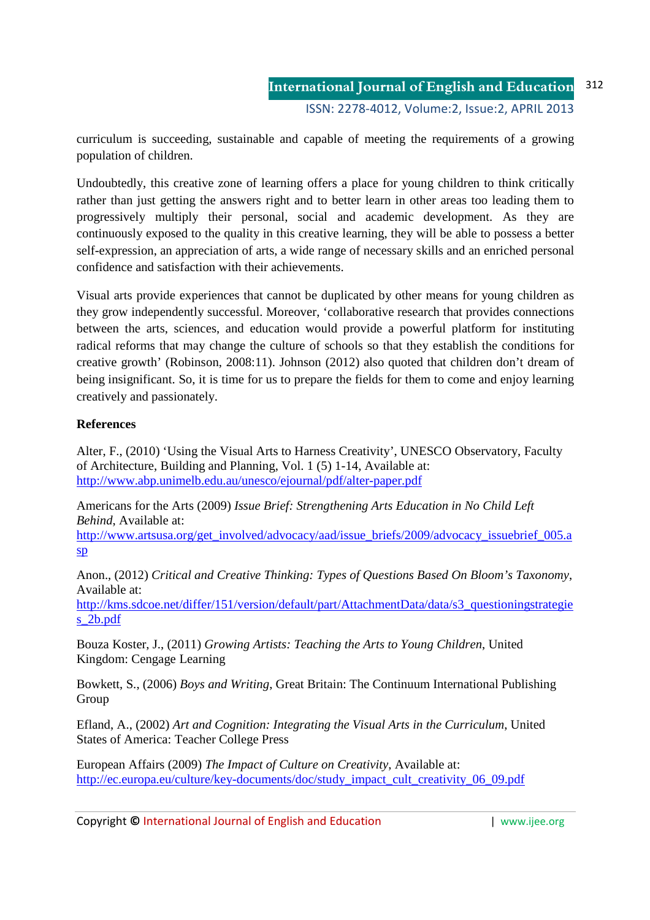curriculum is succeeding, sustainable and capable of meeting the requirements of a growing population of children.

Undoubtedly, this creative zone of learning offers a place for young children to think critically rather than just getting the answers right and to better learn in other areas too leading them to progressively multiply their personal, social and academic development. As they are continuously exposed to the quality in this creative learning, they will be able to possess a better self-expression, an appreciation of arts, a wide range of necessary skills and an enriched personal confidence and satisfaction with their achievements.

Visual arts provide experiences that cannot be duplicated by other means for young children as they grow independently successful. Moreover, 'collaborative research that provides connections between the arts, sciences, and education would provide a powerful platform for instituting radical reforms that may change the culture of schools so that they establish the conditions for creative growth' (Robinson, 2008:11). Johnson (2012) also quoted that children don't dream of being insignificant. So, it is time for us to prepare the fields for them to come and enjoy learning creatively and passionately.

# **References**

Alter, F., (2010) 'Using the Visual Arts to Harness Creativity', UNESCO Observatory, Faculty of Architecture, Building and Planning, Vol. 1 (5) 1-14, Available at: http://www.abp.unimelb.edu.au/unesco/ejournal/pdf/alter-paper.pdf

Americans for the Arts (2009) *Issue Brief: Strengthening Arts Education in No Child Left Behind*, Available at:

http://www.artsusa.org/get\_involved/advocacy/aad/issue\_briefs/2009/advocacy\_issuebrief\_005.a sp

Anon., (2012) *Critical and Creative Thinking: Types of Questions Based On Bloom's Taxonomy*, Available at:

http://kms.sdcoe.net/differ/151/version/default/part/AttachmentData/data/s3\_questioningstrategie s\_2b.pdf

Bouza Koster, J., (2011) *Growing Artists: Teaching the Arts to Young Children*, United Kingdom: Cengage Learning

Bowkett, S., (2006) *Boys and Writing*, Great Britain: The Continuum International Publishing Group

Efland, A., (2002) *Art and Cognition: Integrating the Visual Arts in the Curriculum*, United States of America: Teacher College Press

European Affairs (2009) *The Impact of Culture on Creativity*, Available at: http://ec.europa.eu/culture/key-documents/doc/study\_impact\_cult\_creativity\_06\_09.pdf

Copyright **©** International Journal of English and Education | www.ijee.org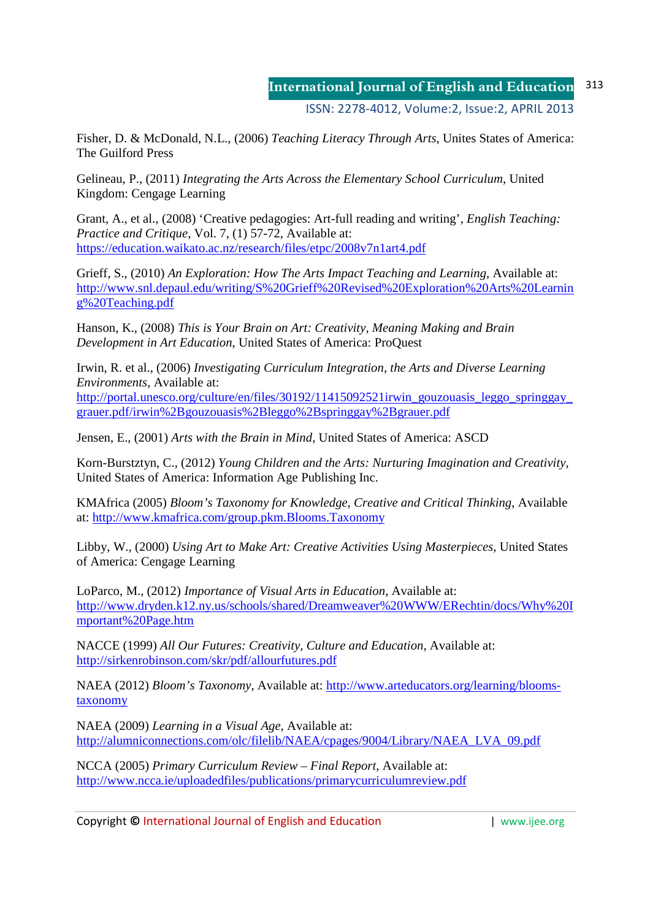Fisher, D. & McDonald, N.L., (2006) *Teaching Literacy Through Arts*, Unites States of America: The Guilford Press

Gelineau, P., (2011) *Integrating the Arts Across the Elementary School Curriculum*, United Kingdom: Cengage Learning

Grant, A., et al., (2008) 'Creative pedagogies: Art-full reading and writing', *English Teaching: Practice and Critique*, Vol. 7, (1) 57-72, Available at: https://education.waikato.ac.nz/research/files/etpc/2008v7n1art4.pdf

Grieff, S., (2010) *An Exploration: How The Arts Impact Teaching and Learning*, Available at: http://www.snl.depaul.edu/writing/S%20Grieff%20Revised%20Exploration%20Arts%20Learnin g%20Teaching.pdf

Hanson, K., (2008) *This is Your Brain on Art: Creativity, Meaning Making and Brain Development in Art Education*, United States of America: ProQuest

Irwin, R. et al., (2006) *Investigating Curriculum Integration, the Arts and Diverse Learning Environments*, Available at: http://portal.unesco.org/culture/en/files/30192/11415092521irwin\_gouzouasis\_leggo\_springgay\_ grauer.pdf/irwin%2Bgouzouasis%2Bleggo%2Bspringgay%2Bgrauer.pdf

Jensen, E., (2001) *Arts with the Brain in Mind*, United States of America: ASCD

Korn-Burstztyn, C., (2012) *Young Children and the Arts: Nurturing Imagination and Creativity*, United States of America: Information Age Publishing Inc.

KMAfrica (2005) *Bloom's Taxonomy for Knowledge, Creative and Critical Thinking*, Available at: http://www.kmafrica.com/group.pkm.Blooms.Taxonomy

Libby, W., (2000) *Using Art to Make Art: Creative Activities Using Masterpieces*, United States of America: Cengage Learning

LoParco, M., (2012) *Importance of Visual Arts in Education*, Available at: http://www.dryden.k12.ny.us/schools/shared/Dreamweaver%20WWW/ERechtin/docs/Why%20I mportant%20Page.htm

NACCE (1999) *All Our Futures: Creativity, Culture and Education*, Available at: http://sirkenrobinson.com/skr/pdf/allourfutures.pdf

NAEA (2012) *Bloom's Taxonomy*, Available at: http://www.arteducators.org/learning/bloomstaxonomy

NAEA (2009) *Learning in a Visual Age*, Available at: http://alumniconnections.com/olc/filelib/NAEA/cpages/9004/Library/NAEA\_LVA\_09.pdf

NCCA (2005) *Primary Curriculum Review – Final Report*, Available at: http://www.ncca.ie/uploadedfiles/publications/primarycurriculumreview.pdf

Copyright **©** International Journal of English and Education | www.ijee.org